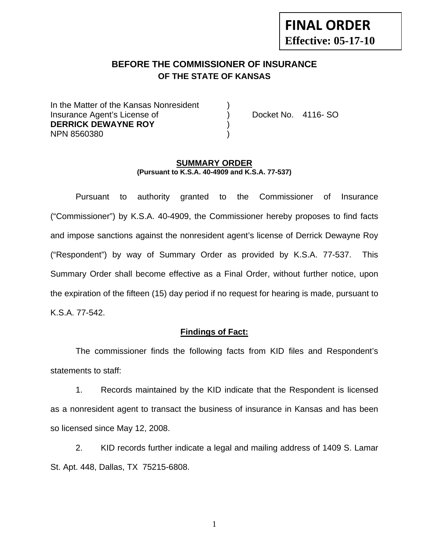# **FINAL ORDER Effective: 05-17-10**

## **BEFORE THE COMMISSIONER OF INSURANCE OF THE STATE OF KANSAS**

In the Matter of the Kansas Nonresident Insurance Agent's License of (a) Docket No. 4116- SO **DERRICK DEWAYNE ROY** ) NPN 8560380 )

#### **SUMMARY ORDER (Pursuant to K.S.A. 40-4909 and K.S.A. 77-537)**

 Pursuant to authority granted to the Commissioner of Insurance ("Commissioner") by K.S.A. 40-4909, the Commissioner hereby proposes to find facts and impose sanctions against the nonresident agent's license of Derrick Dewayne Roy ("Respondent") by way of Summary Order as provided by K.S.A. 77-537. This Summary Order shall become effective as a Final Order, without further notice, upon the expiration of the fifteen (15) day period if no request for hearing is made, pursuant to K.S.A. 77-542.

#### **Findings of Fact:**

 The commissioner finds the following facts from KID files and Respondent's statements to staff:

 1. Records maintained by the KID indicate that the Respondent is licensed as a nonresident agent to transact the business of insurance in Kansas and has been so licensed since May 12, 2008.

 2. KID records further indicate a legal and mailing address of 1409 S. Lamar St. Apt. 448, Dallas, TX 75215-6808.

1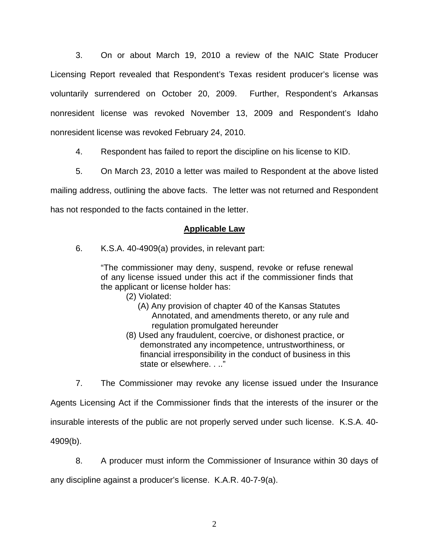3. On or about March 19, 2010 a review of the NAIC State Producer Licensing Report revealed that Respondent's Texas resident producer's license was voluntarily surrendered on October 20, 2009. Further, Respondent's Arkansas nonresident license was revoked November 13, 2009 and Respondent's Idaho nonresident license was revoked February 24, 2010.

4. Respondent has failed to report the discipline on his license to KID.

 5. On March 23, 2010 a letter was mailed to Respondent at the above listed mailing address, outlining the above facts. The letter was not returned and Respondent has not responded to the facts contained in the letter.

### **Applicable Law**

6. K.S.A. 40-4909(a) provides, in relevant part:

"The commissioner may deny, suspend, revoke or refuse renewal of any license issued under this act if the commissioner finds that the applicant or license holder has:

- (2) Violated:
	- (A) Any provision of chapter 40 of the Kansas Statutes Annotated, and amendments thereto, or any rule and regulation promulgated hereunder
- (8) Used any fraudulent, coercive, or dishonest practice, or demonstrated any incompetence, untrustworthiness, or financial irresponsibility in the conduct of business in this state or elsewhere. . .."

 7. The Commissioner may revoke any license issued under the Insurance Agents Licensing Act if the Commissioner finds that the interests of the insurer or the insurable interests of the public are not properly served under such license. K.S.A. 40- 4909(b).

 8. A producer must inform the Commissioner of Insurance within 30 days of any discipline against a producer's license. K.A.R. 40-7-9(a).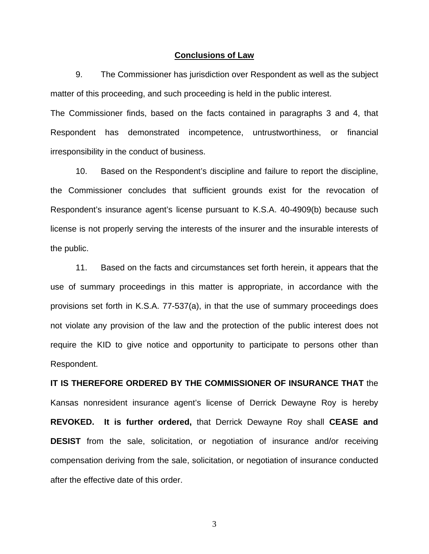#### **Conclusions of Law**

 9. The Commissioner has jurisdiction over Respondent as well as the subject matter of this proceeding, and such proceeding is held in the public interest.

The Commissioner finds, based on the facts contained in paragraphs 3 and 4, that Respondent has demonstrated incompetence, untrustworthiness, or financial irresponsibility in the conduct of business.

 10. Based on the Respondent's discipline and failure to report the discipline, the Commissioner concludes that sufficient grounds exist for the revocation of Respondent's insurance agent's license pursuant to K.S.A. 40-4909(b) because such license is not properly serving the interests of the insurer and the insurable interests of the public.

 11. Based on the facts and circumstances set forth herein, it appears that the use of summary proceedings in this matter is appropriate, in accordance with the provisions set forth in K.S.A. 77-537(a), in that the use of summary proceedings does not violate any provision of the law and the protection of the public interest does not require the KID to give notice and opportunity to participate to persons other than Respondent.

**IT IS THEREFORE ORDERED BY THE COMMISSIONER OF INSURANCE THAT** the Kansas nonresident insurance agent's license of Derrick Dewayne Roy is hereby **REVOKED. It is further ordered,** that Derrick Dewayne Roy shall **CEASE and DESIST** from the sale, solicitation, or negotiation of insurance and/or receiving compensation deriving from the sale, solicitation, or negotiation of insurance conducted after the effective date of this order.

3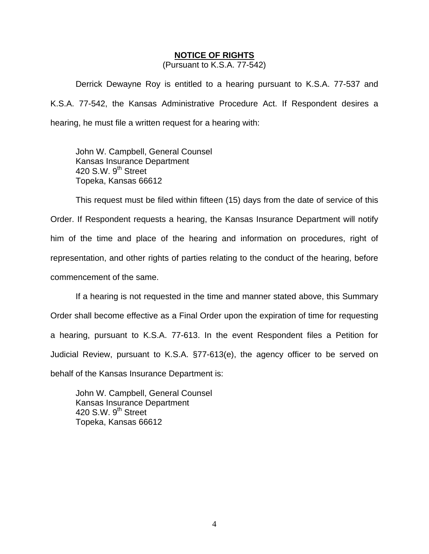#### **NOTICE OF RIGHTS**

(Pursuant to K.S.A. 77-542)

Derrick Dewayne Roy is entitled to a hearing pursuant to K.S.A. 77-537 and K.S.A. 77-542, the Kansas Administrative Procedure Act. If Respondent desires a hearing, he must file a written request for a hearing with:

 John W. Campbell, General Counsel Kansas Insurance Department 420 S.W. 9<sup>th</sup> Street Topeka, Kansas 66612

This request must be filed within fifteen (15) days from the date of service of this Order. If Respondent requests a hearing, the Kansas Insurance Department will notify him of the time and place of the hearing and information on procedures, right of representation, and other rights of parties relating to the conduct of the hearing, before commencement of the same.

If a hearing is not requested in the time and manner stated above, this Summary Order shall become effective as a Final Order upon the expiration of time for requesting a hearing, pursuant to K.S.A. 77-613. In the event Respondent files a Petition for Judicial Review, pursuant to K.S.A. §77-613(e), the agency officer to be served on behalf of the Kansas Insurance Department is:

 John W. Campbell, General Counsel Kansas Insurance Department 420 S.W.  $9<sup>th</sup>$  Street Topeka, Kansas 66612